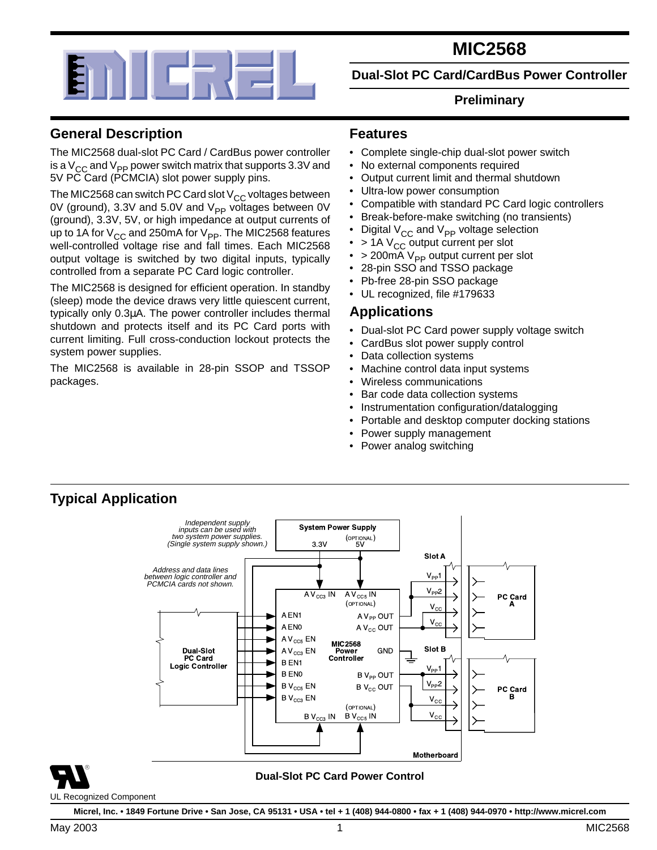

# **MIC2568**

**Dual-Slot PC Card/CardBus Power Controller**

#### **Preliminary**

### **General Description**

The MIC2568 dual-slot PC Card / CardBus power controller is a  $V_{CC}$  and  $V_{PP}$  power switch matrix that supports 3.3V and 5V PC Card (PCMCIA) slot power supply pins.

The MIC2568 can switch PC Card slot  $V_{CC}$  voltages between 0V (ground), 3.3V and 5.0V and  $V_{\text{PP}}$  voltages between 0V (ground), 3.3V, 5V, or high impedance at output currents of up to 1A for  $V_{CC}$  and 250mA for  $V_{PP}$ . The MIC2568 features well-controlled voltage rise and fall times. Each MIC2568 output voltage is switched by two digital inputs, typically controlled from a separate PC Card logic controller.

The MIC2568 is designed for efficient operation. In standby (sleep) mode the device draws very little quiescent current, typically only 0.3µA. The power controller includes thermal shutdown and protects itself and its PC Card ports with current limiting. Full cross-conduction lockout protects the system power supplies.

The MIC2568 is available in 28-pin SSOP and TSSOP packages.

#### **Features**

- Complete single-chip dual-slot power switch
- No external components required
- Output current limit and thermal shutdown
- Ultra-low power consumption
- Compatible with standard PC Card logic controllers
- Break-before-make switching (no transients)
- Digital  $V_{CC}$  and  $V_{PP}$  voltage selection
- $> 1$ A V<sub>CC</sub> output current per slot<br>•  $> 200 \text{mA}$  V<sub>PP</sub> output current per
- $>$  200mA V<sub>PP</sub> output current per slot<br>• 28-pin SSO and TSSO package
- 28-pin SSO and TSSO package
- Pb-free 28-pin SSO package
- UL recognized, file #179633

### **Applications**

- Dual-slot PC Card power supply voltage switch
- CardBus slot power supply control
- Data collection systems
- Machine control data input systems
- Wireless communications
- Bar code data collection systems
- Instrumentation configuration/datalogging
- Portable and desktop computer docking stations
- Power supply management
- Power analog switching

### **Typical Application**



**Micrel, Inc. • 1849 Fortune Drive • San Jose, CA 95131 • USA • tel + 1 (408) 944-0800 • fax + 1 (408) 944-0970 • http://www.micrel.com**

UL Recognized Component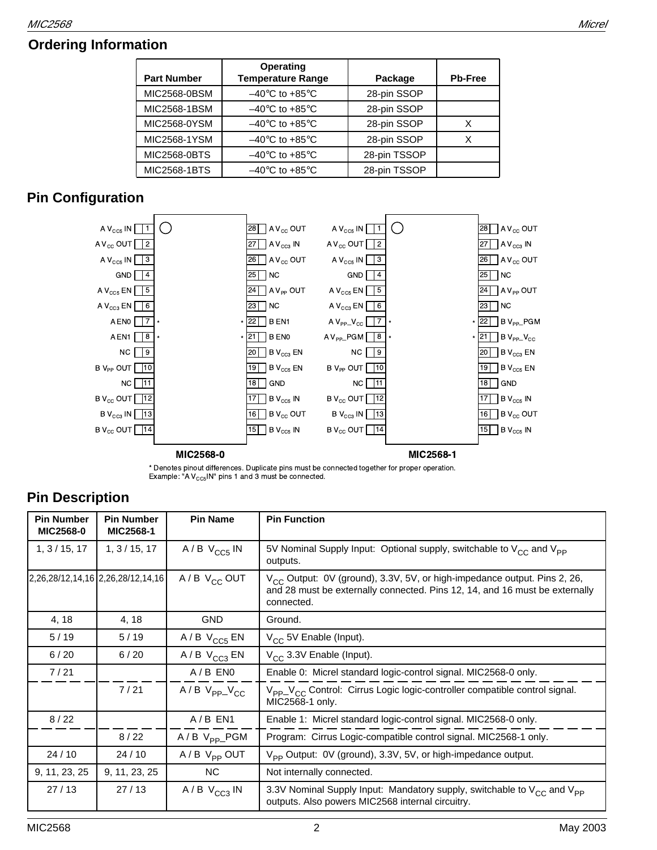# **Ordering Information**

| <b>Part Number</b> | <b>Operating</b><br><b>Temperature Range</b> | Package      | <b>Pb-Free</b> |
|--------------------|----------------------------------------------|--------------|----------------|
| MIC2568-0BSM       | $-40^{\circ}$ C to +85 $^{\circ}$ C          | 28-pin SSOP  |                |
| MIC2568-1BSM       | $-40^{\circ}$ C to +85 $^{\circ}$ C          | 28-pin SSOP  |                |
| MIC2568-0YSM       | $-40^{\circ}$ C to +85 $^{\circ}$ C          | 28-pin SSOP  | х              |
| MIC2568-1YSM       | $-40^{\circ}$ C to +85 $^{\circ}$ C          | 28-pin SSOP  | х              |
| MIC2568-0BTS       | $-40^{\circ}$ C to +85 $^{\circ}$ C          | 28-pin TSSOP |                |
| MIC2568-1BTS       | $-40^{\circ}$ C to +85 $^{\circ}$ C          | 28-pin TSSOP |                |

# **Pin Configuration**



\* Denotes pinout differences. Duplicate pins must be connected together for proper operation. Example: "A  $V_{CC5}$ IN" pins 1 and 3 must be connected.

# **Pin Description**

| <b>Pin Number</b><br><b>MIC2568-0</b> | <b>Pin Number</b><br><b>MIC2568-1</b> | <b>Pin Name</b>           | <b>Pin Function</b>                                                                                                                                                        |
|---------------------------------------|---------------------------------------|---------------------------|----------------------------------------------------------------------------------------------------------------------------------------------------------------------------|
| 1, 3/15, 17                           | 1, 3/15, 17                           | $A/B$ $V_{CC5}$ IN        | 5V Nominal Supply Input: Optional supply, switchable to V <sub>CC</sub> and V <sub>PP</sub><br>outputs.                                                                    |
| 2,26,28/12,14,16 2,26,28/12,14,16     |                                       | $A/B$ V <sub>CC</sub> OUT | $V_{CC}$ Output: 0V (ground), 3.3V, 5V, or high-impedance output. Pins 2, 26,<br>and 28 must be externally connected. Pins 12, 14, and 16 must be externally<br>connected. |
| 4, 18                                 | 4, 18                                 | <b>GND</b>                | Ground.                                                                                                                                                                    |
| 5/19                                  | 5/19                                  | $A/B$ $V_{CC5}$ EN        | V <sub>CC</sub> 5V Enable (Input).                                                                                                                                         |
| 6/20                                  | $6/20$                                | $A/B$ $V_{CC3}$ EN        | $V_{CC}$ 3.3V Enable (Input).                                                                                                                                              |
| 7/21                                  |                                       | $A/B$ ENO                 | Enable 0: Micrel standard logic-control signal. MIC2568-0 only.                                                                                                            |
|                                       | 7/21                                  | $A/B$ $V_{PP}$ $V_{CC}$   | V <sub>PP</sub> _V <sub>CC</sub> Control: Cirrus Logic logic-controller compatible control signal.<br>MIC2568-1 only.                                                      |
| 8/22                                  |                                       | $A/B$ EN1                 | Enable 1: Micrel standard logic-control signal. MIC2568-0 only.                                                                                                            |
|                                       | 8/22                                  | $A/B$ $V_{PP}$ PGM        | Program: Cirrus Logic-compatible control signal. MIC2568-1 only.                                                                                                           |
| 24/10                                 | 24/10                                 | $A/B$ $V_{PP}$ OUT        | V <sub>PP</sub> Output: 0V (ground), 3.3V, 5V, or high-impedance output.                                                                                                   |
| 9, 11, 23, 25                         | 9, 11, 23, 25                         | <b>NC</b>                 | Not internally connected.                                                                                                                                                  |
| 27/13                                 | 27/13                                 | $A/B$ $V_{CC3}$ IN        | 3.3V Nominal Supply Input: Mandatory supply, switchable to $V_{CC}$ and $V_{PP}$<br>outputs. Also powers MIC2568 internal circuitry.                                       |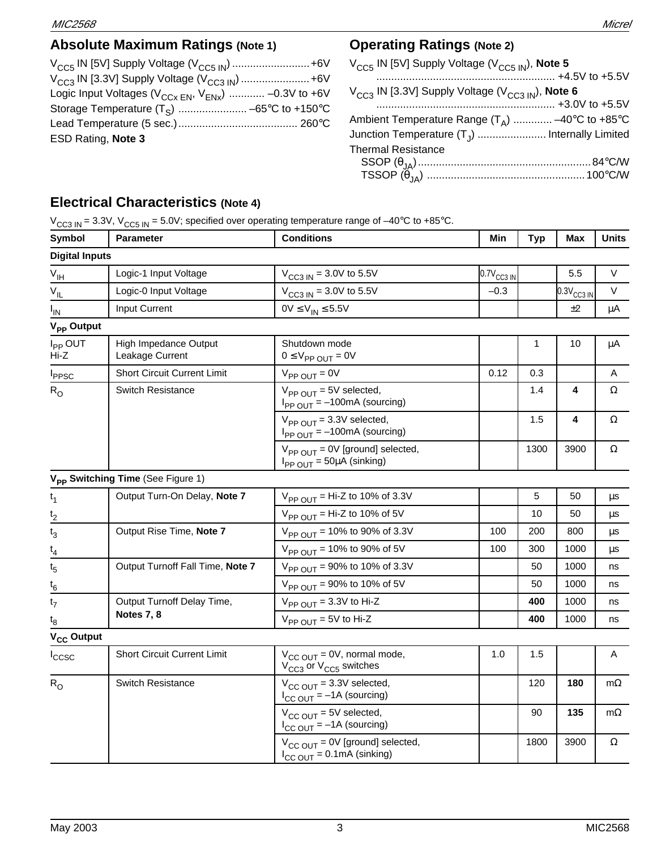# **Absolute Maximum Ratings (Note 1)**

| $V_{CCS}$ IN [5V] Supply Voltage ( $V_{CCS}$ <sub>IN</sub> )  +6V   |  |
|---------------------------------------------------------------------|--|
| $V_{CC3}$ IN [3.3V] Supply Voltage ( $V_{CC3}$ <sub>IN</sub> )  +6V |  |
| Logic Input Voltages ( $V_{CCx EN}$ , $V_{ENx}$ )  -0.3V to +6V     |  |
|                                                                     |  |
|                                                                     |  |
| ESD Rating, Note 3                                                  |  |
|                                                                     |  |

## **Operating Ratings (Note 2)**

| V <sub>CC5</sub> IN [5V] Supply Voltage (V <sub>CC5 IN</sub> ), <b>Note 5</b>   |  |
|---------------------------------------------------------------------------------|--|
| V <sub>CC3</sub> IN [3.3V] Supply Voltage (V <sub>CC3 IN</sub> ), <b>Note 6</b> |  |
| Ambient Temperature Range $(T_A)$ –40°C to +85°C                                |  |
| Junction Temperature (T <sub>J</sub> )  Internally Limited                      |  |
| <b>Thermal Resistance</b>                                                       |  |
|                                                                                 |  |
|                                                                                 |  |

# **Electrical Characteristics (Note 4)**

|  | $V_{CC3 IN}$ = 3.3V, $V_{CC5 IN}$ = 5.0V; specified over operating temperature range of -40°C to +85°C. |  |  |  |
|--|---------------------------------------------------------------------------------------------------------|--|--|--|
|--|---------------------------------------------------------------------------------------------------------|--|--|--|

| Symbol                      | <b>Parameter</b>                              | <b>Conditions</b>                                                                               | Min             | <b>Typ</b> | <b>Max</b>      | <b>Units</b> |
|-----------------------------|-----------------------------------------------|-------------------------------------------------------------------------------------------------|-----------------|------------|-----------------|--------------|
| <b>Digital Inputs</b>       |                                               |                                                                                                 |                 |            |                 |              |
| $V_{\text{IH}}$             | Logic-1 Input Voltage                         | $V_{CC3 IN}$ = 3.0V to 5.5V                                                                     | $0.7V_{CC3 IN}$ |            | 5.5             | V            |
| $V_{IL}$                    | Logic-0 Input Voltage                         | $V_{CC3 IN} = 3.0V$ to 5.5V                                                                     | $-0.3$          |            | $0.3V_{CC3 IN}$ | V            |
| $I_{IN}$                    | Input Current                                 | $0V \le V_{IN} \le 5.5V$                                                                        |                 |            | ±2              | μA           |
| V <sub>PP</sub> Output      |                                               |                                                                                                 |                 |            |                 |              |
| I <sub>PP</sub> OUT<br>Hi-Z | High Impedance Output<br>Leakage Current      | Shutdown mode<br>$0 \leq V_{PP}$ $_{OUT} = 0V$                                                  |                 | 1          | 10              | μA           |
| <b>I</b> <sub>PPSC</sub>    | <b>Short Circuit Current Limit</b>            | $V_{PP\text{ OUT}} = 0V$                                                                        | 0.12            | 0.3        |                 | Α            |
| $R_{\rm O}$                 | <b>Switch Resistance</b>                      | $V_{PPOUT}$ = 5V selected,<br>$I_{PP\text{ OUT}} = -100 \text{mA}$ (sourcing)                   |                 | 1.4        | 4               | $\Omega$     |
|                             |                                               | $V_{PP\text{ OUT}} = 3.3V$ selected,<br>$I_{PP\text{ OUT}} = -100 \text{mA}$ (sourcing)         |                 | 1.5        | 4               | Ω            |
|                             |                                               | $V_{PP\text{ OUT}} = 0V$ [ground] selected,<br>$I_{PP\text{ OUT}} = 50 \mu A \text{ (sinking)}$ |                 | 1300       | 3900            | $\Omega$     |
|                             | V <sub>PP</sub> Switching Time (See Figure 1) |                                                                                                 |                 |            |                 |              |
| $t_1$                       | Output Turn-On Delay, Note 7                  | $V_{PP\text{ OUT}}$ = Hi-Z to 10% of 3.3V                                                       |                 | $\sqrt{5}$ | 50              | μs           |
| $\frac{t_2}{}$              |                                               | $V_{PP\text{ OUT}}$ = Hi-Z to 10% of 5V                                                         |                 | 10         | 50              | μs           |
| $t_3$                       | Output Rise Time, Note 7                      | $V_{PP\text{ OUT}} = 10\%$ to 90% of 3.3V                                                       | 100             | 200        | 800             | μs           |
| $\mathfrak{t}_4$            |                                               | $V_{PP\text{ OUT}} = 10\%$ to 90% of 5V                                                         | 100             | 300        | 1000            | μs           |
| $t_{5}$                     | Output Turnoff Fall Time, Note 7              | $V_{PP\text{ OUT}} = 90\%$ to 10% of 3.3V                                                       |                 | 50         | 1000            | ns           |
| $t_6$                       |                                               | $V_{PP\ OUT}$ = 90% to 10% of 5V                                                                |                 | 50         | 1000            | ns           |
| t <sub>7</sub>              | Output Turnoff Delay Time,                    | $V_{PP\text{ OUT}} = 3.3V$ to Hi-Z                                                              |                 | 400        | 1000            | ns           |
| $t_8$                       | Notes 7, 8                                    | $V_{PP\ OUT} = 5V$ to Hi-Z                                                                      |                 | 400        | 1000            | ns           |
| $V_{CC}$ Output             |                                               |                                                                                                 |                 |            |                 |              |
| ccsc                        | <b>Short Circuit Current Limit</b>            | $V_{CC\ OUT} = 0V$ , normal mode,<br>V <sub>CC3</sub> or V <sub>CC5</sub> switches              | 1.0             | 1.5        |                 | Α            |
| $R_{O}$                     | Switch Resistance                             | $V_{CC OUT}$ = 3.3V selected,<br>$I_{CC\text{ OUT}} = -1$ A (sourcing)                          |                 | 120        | 180             | $m\Omega$    |
|                             |                                               | $V_{CC\ OUT}$ = 5V selected,<br>$I_{CC\text{ OUT}} = -1$ A (sourcing)                           |                 | 90         | 135             | $m\Omega$    |
|                             |                                               | $V_{CC\ OUT}$ = 0V [ground] selected,<br>$I_{CC\ OUT} = 0.1 \text{mA}$ (sinking)                |                 | 1800       | 3900            | $\Omega$     |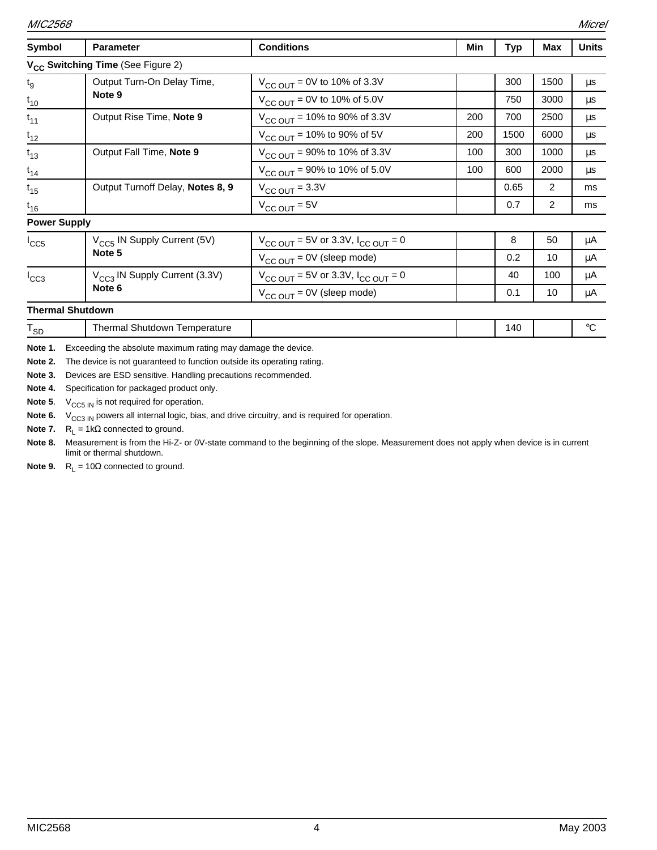| Symbol                        | <b>Parameter</b>                                                                                                                                                                                       | <b>Conditions</b>                                         | Min | <b>Typ</b> | Max  | <b>Units</b> |
|-------------------------------|--------------------------------------------------------------------------------------------------------------------------------------------------------------------------------------------------------|-----------------------------------------------------------|-----|------------|------|--------------|
|                               | V <sub>CC</sub> Switching Time (See Figure 2)                                                                                                                                                          |                                                           |     |            |      |              |
| $t_{g}$                       | Output Turn-On Delay Time,                                                                                                                                                                             | $V_{CC OUT} = 0V$ to 10% of 3.3V                          |     | 300        | 1500 | $\mu$ s      |
| $t_{10}$                      | Note 9                                                                                                                                                                                                 | $V_{CC OUT} = 0V$ to 10% of 5.0V                          |     | 750        | 3000 | μs           |
| $t_{11}$                      | Output Rise Time, Note 9                                                                                                                                                                               | $V_{CC OUT}$ = 10% to 90% of 3.3V                         | 200 | 700        | 2500 | μs           |
| $t_{12}$                      |                                                                                                                                                                                                        | $V_{CC OUT}$ = 10% to 90% of 5V                           | 200 | 1500       | 6000 | μs           |
| $t_{13}$                      | Output Fall Time, Note 9                                                                                                                                                                               | $V_{CC OUT}$ = 90% to 10% of 3.3V                         | 100 | 300        | 1000 | μs           |
| $t_{14}$                      |                                                                                                                                                                                                        | $V_{CC OUT}$ = 90% to 10% of 5.0V                         | 100 | 600        | 2000 | μs           |
| $t_{15}$                      | Output Turnoff Delay, Notes 8, 9                                                                                                                                                                       | $V_{\text{CC OUT}} = 3.3V$                                |     | 0.65       | 2    | ms           |
| $t_{16}$                      |                                                                                                                                                                                                        | $V_{CC\,OUT} = 5V$                                        |     | 0.7        | 2    | ms           |
| <b>Power Supply</b>           |                                                                                                                                                                                                        |                                                           |     |            |      |              |
| $I_{CC5}$                     | V <sub>CC5</sub> IN Supply Current (5V)                                                                                                                                                                | $V_{\text{CC OUT}} = 5V$ or 3.3V, $I_{\text{CC OUT}} = 0$ |     | 8          | 50   | μA           |
|                               | Note 5                                                                                                                                                                                                 | $V_{CC\ OUT} = 0V$ (sleep mode)                           |     | 0.2        | 10   | μA           |
| $I_{CC3}$                     | V <sub>CC3</sub> IN Supply Current (3.3V)                                                                                                                                                              | $V_{CC OUT}$ = 5V or 3.3V, $I_{CC OUT}$ = 0               |     | 40         | 100  | μA           |
|                               | Note 6                                                                                                                                                                                                 | $V_{CC\ OUT} = 0V$ (sleep mode)                           |     | 0.1        | 10   | μA           |
| <b>Thermal Shutdown</b>       |                                                                                                                                                                                                        |                                                           |     |            |      |              |
| $\mathsf{T}_{\mathsf{SD}}$    | Thermal Shutdown Temperature                                                                                                                                                                           |                                                           |     | 140        |      | $^{\circ}C$  |
| Note 1.<br>Note 2.<br>Note 3. | Exceeding the absolute maximum rating may damage the device.<br>The device is not guaranteed to function outside its operating rating.<br>Devices are ESD sensitive. Handling precautions recommended. |                                                           |     |            |      |              |

**Note 4.** Specification for packaged product only.

**Note 5.**  $V_{CC5 \, \text{IN}}$  is not required for operation.

Note 6. V<sub>CC3 IN</sub> powers all internal logic, bias, and drive circuitry, and is required for operation.

**Note 7.**  $R_L = 1k\Omega$  connected to ground.

**Note 8.** Measurement is from the Hi-Z- or 0V-state command to the beginning of the slope. Measurement does not apply when device is in current limit or thermal shutdown.

**Note 9.**  $R_L = 10\Omega$  connected to ground.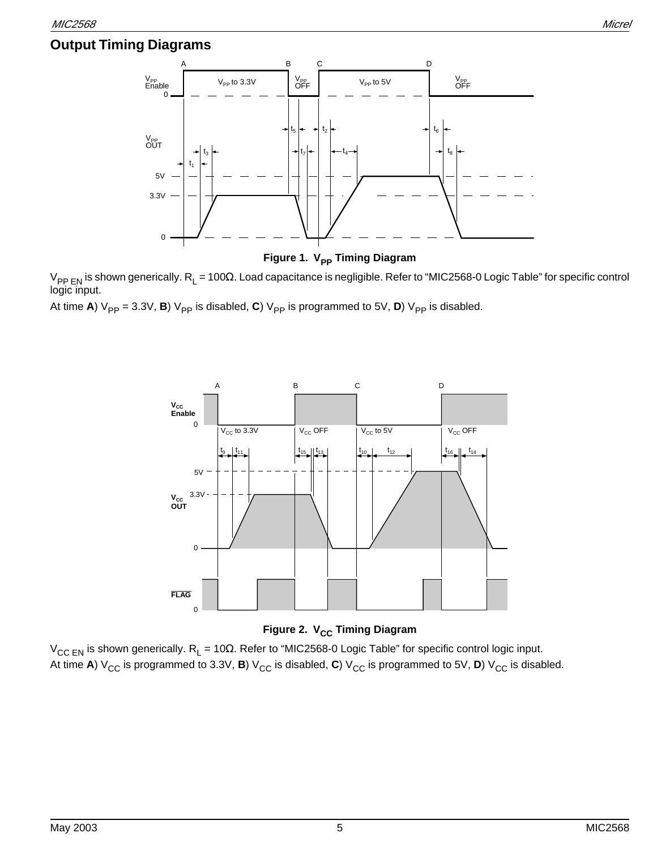### **Output Timing Diagrams**



**Figure 1. V<sub>PP</sub> Timing Diagram** 

 $V_{PPEN}$  is shown generically.  $R_L$  = 100Ω. Load capacitance is negligible. Refer to "MIC2568-0 Logic Table" for specific control logic input.

At time **A**)  $V_{PP} = 3.3V$ , **B**)  $V_{PP}$  is disabled, **C**)  $V_{PP}$  is programmed to 5V, **D**)  $V_{PP}$  is disabled.



**Figure 2. V<sub>CC</sub> Timing Diagram** 

 $V_{CC EN}$  is shown generically. R<sub>L</sub> = 10Ω. Refer to "MIC2568-0 Logic Table" for specific control logic input. At time **A**)  $V_{CC}$  is programmed to 3.3V, **B**)  $V_{CC}$  is disabled, **C**)  $V_{CC}$  is programmed to 5V, **D**)  $V_{CC}$  is disabled.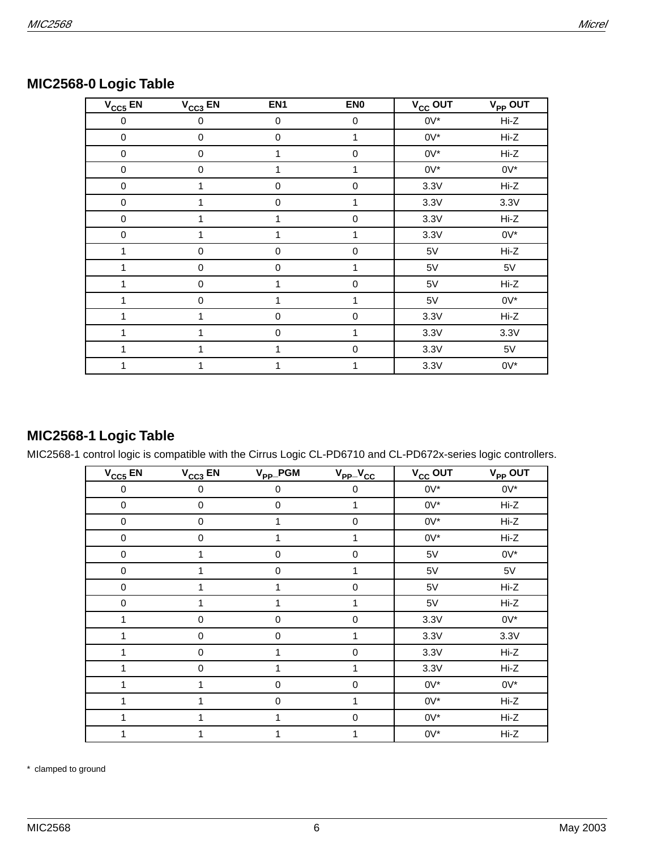| $V_{CC5}$ EN | $V_{CC3}$ EN | EN <sub>1</sub>  | EN <sub>0</sub> | $V_{CC}$ OUT | $V_{PP}$ OUT |
|--------------|--------------|------------------|-----------------|--------------|--------------|
| 0            | 0            | 0                | 0               | $0V^*$       | Hi-Z         |
| $\pmb{0}$    | $\pmb{0}$    | $\pmb{0}$        | 1               | $0V^*$       | Hi-Z         |
| $\pmb{0}$    | $\pmb{0}$    | 1                | $\mathbf 0$     | $0V^*$       | Hi-Z         |
| $\pmb{0}$    | 0            | 1                | $\mathbf{1}$    | $0V^*$       | $0V^*$       |
| $\pmb{0}$    | 1            | $\mathbf 0$      | $\pmb{0}$       | 3.3V         | Hi-Z         |
| $\pmb{0}$    | 1            | $\boldsymbol{0}$ | 1               | 3.3V         | 3.3V         |
| $\pmb{0}$    | 1            | 1                | $\pmb{0}$       | 3.3V         | Hi-Z         |
| 0            | 1            | 1                | 1               | 3.3V         | $0V^*$       |
| 1            | 0            | $\mathbf 0$      | $\mathbf 0$     | 5V           | Hi-Z         |
|              | 0            | $\mathbf 0$      | 1               | 5V           | 5V           |
|              | 0            | 1                | $\mathbf 0$     | 5V           | Hi-Z         |
|              | 0            | 1                | 1               | 5V           | $0V^*$       |
|              | 1            | $\mathbf 0$      | $\mathbf 0$     | 3.3V         | Hi-Z         |
|              | 1            | $\pmb{0}$        | 1               | 3.3V         | 3.3V         |
| 1            | 1            | 1                | $\mathbf 0$     | 3.3V         | 5V           |
|              |              |                  | 1               | 3.3V         | $0V^*$       |

### **MIC2568-0 Logic Table**

## **MIC2568-1 Logic Table**

MIC2568-1 control logic is compatible with the Cirrus Logic CL-PD6710 and CL-PD672x-series logic controllers.

| $V_{CC5}$ EN     | $V_{CC3}$ EN | $V_{PP}$ PGM | $V_{PP}$ $V_{CC}$ | V <sub>CC</sub> OUT | V <sub>PP</sub> OUT |
|------------------|--------------|--------------|-------------------|---------------------|---------------------|
| $\boldsymbol{0}$ | $\mathbf 0$  | 0            | 0                 | $0V^*$              | $0V^*$              |
| 0                | 0            | 0            | 1                 | $0V^*$              | Hi-Z                |
| $\pmb{0}$        | $\pmb{0}$    | 1            | $\pmb{0}$         | $0V^*$              | Hi-Z                |
| $\pmb{0}$        | $\pmb{0}$    | 1            | 1                 | $0V^*$              | Hi-Z                |
| 0                | 1            | 0            | 0                 | 5V                  | $0V^*$              |
| $\pmb{0}$        | 1            | 0            | 1                 | 5V                  | 5V                  |
| $\pmb{0}$        |              |              | 0                 | 5V                  | Hi-Z                |
| $\pmb{0}$        | 1            | 1            | 1                 | 5V                  | Hi-Z                |
| 1                | $\mathbf 0$  | 0            | 0                 | 3.3V                | $0V^*$              |
| 1                | $\pmb{0}$    | 0            | 1                 | 3.3V                | 3.3V                |
| 1                | $\mathbf 0$  | 1            | $\mathbf 0$       | 3.3V                | Hi-Z                |
| 1                | $\pmb{0}$    |              | 1                 | 3.3V                | Hi-Z                |
| 1                | 1            | $\pmb{0}$    | $\pmb{0}$         | $0V^*$              | $0V^*$              |
|                  | 1            | $\mathbf 0$  | 1                 | $0V^*$              | Hi-Z                |
| 1                | 1            | 1            | 0                 | $0V^*$              | Hi-Z                |
| 1                | 1            | 1            | 1                 | $0V^*$              | Hi-Z                |

\* clamped to ground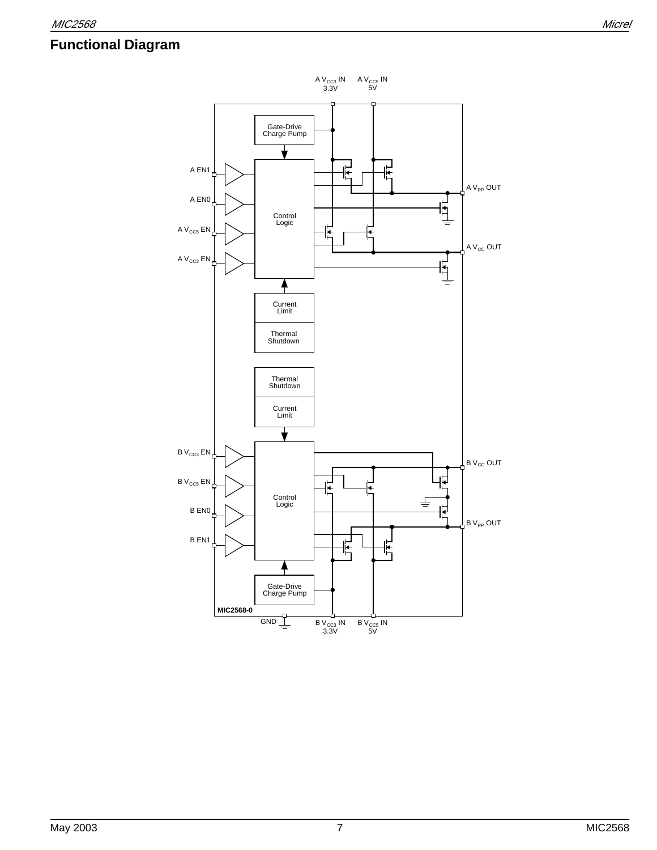# **Functional Diagram**

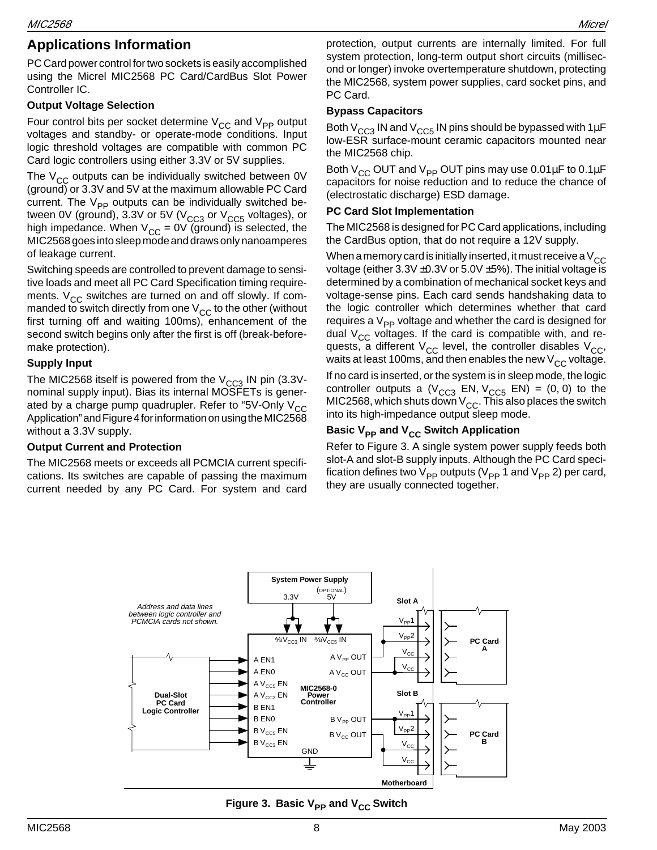### **Applications Information**

PC Card power control for two sockets is easily accomplished using the Micrel MIC2568 PC Card/CardBus Slot Power Controller IC.

#### **Output Voltage Selection**

Four control bits per socket determine  $V_{CC}$  and  $V_{PP}$  output voltages and standby- or operate-mode conditions. Input logic threshold voltages are compatible with common PC Card logic controllers using either 3.3V or 5V supplies.

The  $V_{CC}$  outputs can be individually switched between 0V (ground) or 3.3V and 5V at the maximum allowable PC Card current. The  $V_{\text{PP}}$  outputs can be individually switched between 0V (ground), 3.3V or 5V ( $V<sub>CC3</sub>$  or  $V<sub>CC5</sub>$  voltages), or high impedance. When  $V_{CC} = 0V$  (ground) is selected, the MIC2568 goes into sleep mode and draws only nanoamperes of leakage current.

Switching speeds are controlled to prevent damage to sensitive loads and meet all PC Card Specification timing requirements.  $V_{CC}$  switches are turned on and off slowly. If commanded to switch directly from one  $V_{CC}$  to the other (without first turning off and waiting 100ms), enhancement of the second switch begins only after the first is off (break-beforemake protection).

#### **Supply Input**

The MIC2568 itself is powered from the  $V_{CC3}$  IN pin (3.3Vnominal supply input). Bias its internal MOSFETs is generated by a charge pump quadrupler. Refer to "5V-Only  $V_{CC}$ Application" and Figure 4 for information on using the MIC2568 without a 3.3V supply.

#### **Output Current and Protection**

The MIC2568 meets or exceeds all PCMCIA current specifications. Its switches are capable of passing the maximum current needed by any PC Card. For system and card

protection, output currents are internally limited. For full system protection, long-term output short circuits (millisecond or longer) invoke overtemperature shutdown, protecting the MIC2568, system power supplies, card socket pins, and PC Card.

#### **Bypass Capacitors**

Both  $V_{CC3}$  IN and  $V_{CC5}$  IN pins should be bypassed with 1 $\mu$ F low-ESR surface-mount ceramic capacitors mounted near the MIC2568 chip.

Both  $V_{CC}$  OUT and  $V_{PP}$  OUT pins may use 0.01 $\mu$ F to 0.1 $\mu$ F capacitors for noise reduction and to reduce the chance of (electrostatic discharge) ESD damage.

#### **PC Card Slot Implementation**

The MIC2568 is designed for PC Card applications, including the CardBus option, that do not require a 12V supply.

When a memory card is initially inserted, it must receive a  $V_{CC}$ voltage (either  $3.3V \pm 0.3V$  or  $5.0V \pm 5%$ ). The initial voltage is determined by a combination of mechanical socket keys and voltage-sense pins. Each card sends handshaking data to the logic controller which determines whether that card requires a  $V_{\text{PP}}$  voltage and whether the card is designed for dual  $V_{CC}$  voltages. If the card is compatible with, and requests, a different  $V_{CC}$  level, the controller disables  $V_{CC}$ , waits at least 100ms, and then enables the new  $V_{CC}$  voltage.

If no card is inserted, or the system is in sleep mode, the logic controller outputs a  $(V_{CC3}$  EN,  $V_{CC5}$  EN) = (0, 0) to the MIC2568, which shuts down  $\mathsf{V}_{\mathsf{CC}}$ . This also places the switch into its high-impedance output sleep mode.

#### **Basic V<sub>PP</sub> and V<sub>CC</sub> Switch Application**

Refer to Figure 3. A single system power supply feeds both slot-A and slot-B supply inputs. Although the PC Card specification defines two  $V_{\text{PP}}$  outputs ( $V_{\text{PP}}$  1 and  $V_{\text{PP}}$  2) per card, they are usually connected together.



**Figure 3. Basic V<sub>PP</sub> and V<sub>CC</sub> Switch**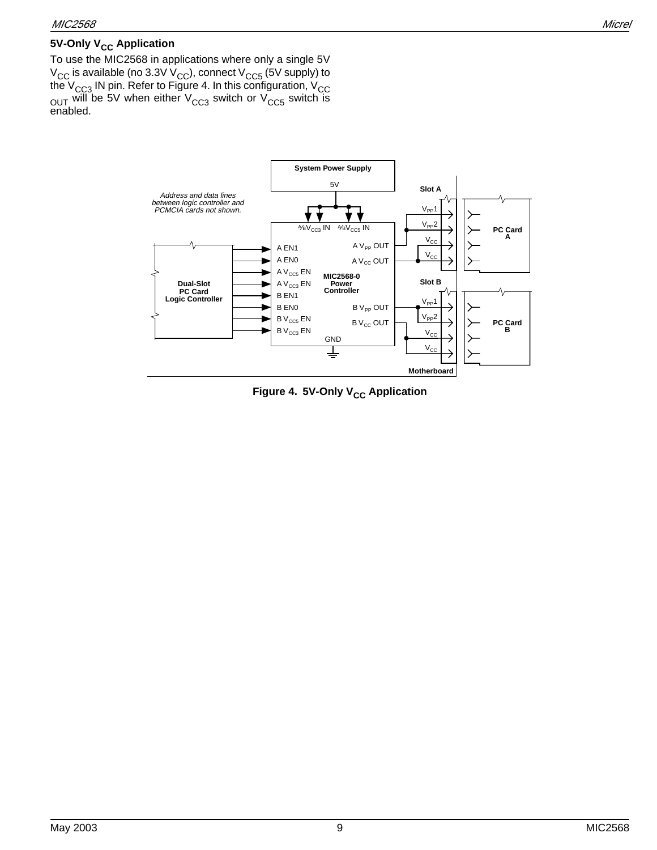#### **5V-Only V<sub>CC</sub> Application**

To use the MIC2568 in applications where only a single 5V  $\rm V_{CC}$  is available (no 3.3V  $\rm V_{CC}$ ), connect  $\rm V_{CC5}$  (5V supply) to the V<sub>CC3</sub> IN pin. Refer to Figure 4. In this configuration, V<sub>CC</sub>  $_{\rm OUT}$  will be 5V when either V $_{\rm CC3}$  switch or V $_{\rm CC5}$  switch is enabled.



**Figure 4. 5V-Only V<sub>CC</sub> Application**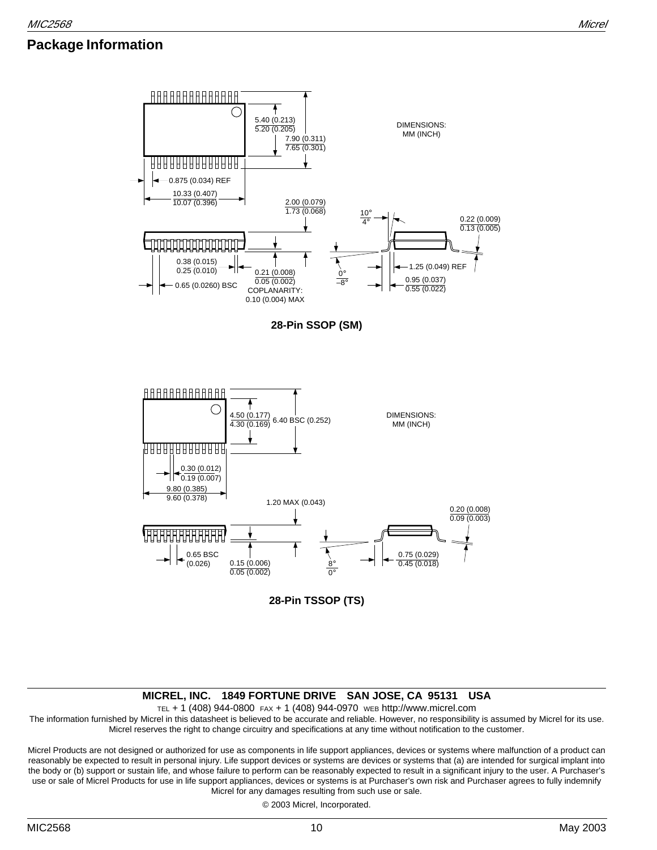### **Package Information**



**28-Pin SSOP (SM)**



**28-Pin TSSOP (TS)**

#### **MICREL, INC. 1849 FORTUNE DRIVE SAN JOSE, CA 95131 USA**

TEL + 1 (408) 944-0800 FAX + 1 (408) 944-0970 WEB http://www.micrel.com

The information furnished by Micrel in this datasheet is believed to be accurate and reliable. However, no responsibility is assumed by Micrel for its use. Micrel reserves the right to change circuitry and specifications at any time without notification to the customer.

Micrel Products are not designed or authorized for use as components in life support appliances, devices or systems where malfunction of a product can reasonably be expected to result in personal injury. Life support devices or systems are devices or systems that (a) are intended for surgical implant into the body or (b) support or sustain life, and whose failure to perform can be reasonably expected to result in a significant injury to the user. A Purchaser's use or sale of Micrel Products for use in life support appliances, devices or systems is at Purchaser's own risk and Purchaser agrees to fully indemnify Micrel for any damages resulting from such use or sale.

© 2003 Micrel, Incorporated.